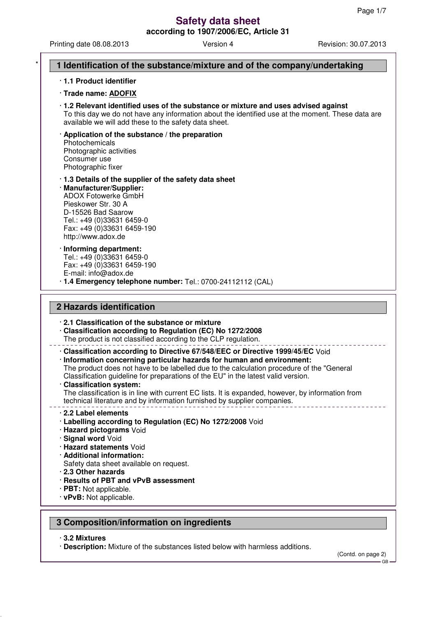## \* **1 Identification of the substance/mixture and of the company/undertaking**

- · **1.1 Product identifier**
- · **Trade name: ADOFIX**
- · **1.2 Relevant identified uses of the substance or mixture and uses advised against** To this day we do not have any information about the identified use at the moment. These data are available we will add these to the safety data sheet.
- · **Application of the substance / the preparation** Photochemicals Photographic activities Consumer use Photographic fixer
- · **1.3 Details of the supplier of the safety data sheet**

· **Manufacturer/Supplier:** ADOX Fotowerke GmbH Pieskower Str. 30 A D-15526 Bad Saarow Tel.: +49 (0)33631 6459-0 Fax: +49 (0)33631 6459-190 http://www.adox.de

· **Informing department:** Tel.: +49 (0)33631 6459-0 Fax: +49 (0)33631 6459-190 E-mail: info@adox.de

· **1.4 Emergency telephone number:** Tel.: 0700-24112112 (CAL)

## **2 Hazards identification**

- · **2.1 Classification of the substance or mixture**
- · **Classification according to Regulation (EC) No 1272/2008**

The product is not classified according to the CLP regulation.

- · **Classification according to Directive 67/548/EEC or Directive 1999/45/EC** Void · **Information concerning particular hazards for human and environment:** The product does not have to be labelled due to the calculation procedure of the "General Classification guideline for preparations of the EU" in the latest valid version.
- · **Classification system:**

The classification is in line with current EC lists. It is expanded, however, by information from technical literature and by information furnished by supplier companies.

- · **2.2 Label elements**
- · **Labelling according to Regulation (EC) No 1272/2008** Void
- · **Hazard pictograms** Void
- · **Signal word** Void
- · **Hazard statements** Void
- · **Additional information:**
- Safety data sheet available on request.
- · **2.3 Other hazards**
- · **Results of PBT and vPvB assessment**
- · **PBT:** Not applicable.
- · **vPvB:** Not applicable.

## **3 Composition/information on ingredients**

· **3.2 Mixtures**

· **Description:** Mixture of the substances listed below with harmless additions.

(Contd. on page 2) GB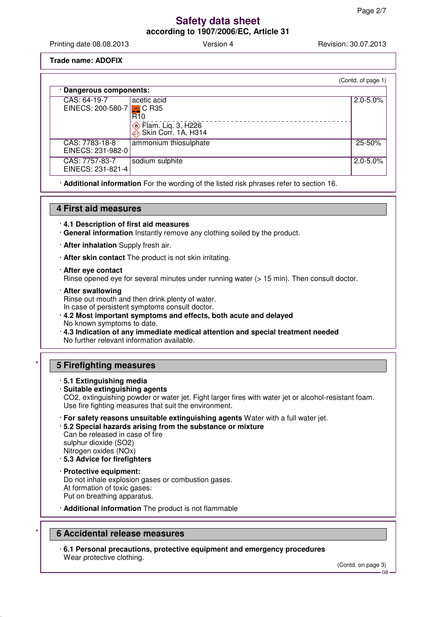# **Safety data sheet according to 1907/2006/EC, Article 31**

Printing date 08.08.2013 Version 4 Version 4 Revision: 30.07.2013

**Trade name: ADOFIX**

|                                                    |                                                                               | (Contd. of page 1) |  |  |
|----------------------------------------------------|-------------------------------------------------------------------------------|--------------------|--|--|
| · Dangerous components:                            |                                                                               |                    |  |  |
| CAS: 64-19-7<br>EINECS: 200-580-7 $\sqrt{2}$ C R35 | acetic acid<br>R <sub>10</sub><br>Soleman Liq. 3, H226<br>Skin Corr. 1A, H314 | $2.0 - 5.0%$       |  |  |
| CAS: 7783-18-8<br>EINECS: 231-982-0                | ammonium thiosulphate                                                         | 25-50%             |  |  |
| CAS: 7757-83-7<br>EINECS: 231-821-4                | sodium sulphite                                                               | $2.0 - 5.0%$       |  |  |

· **Additional information** For the wording of the listed risk phrases refer to section 16.

## **4 First aid measures**

### · **4.1 Description of first aid measures**

- · **General information** Instantly remove any clothing soiled by the product.
- · **After inhalation** Supply fresh air.
- · **After skin contact** The product is not skin irritating.
- · **After eye contact**

Rinse opened eye for several minutes under running water (> 15 min). Then consult doctor.

#### · **After swallowing**

Rinse out mouth and then drink plenty of water.

- In case of persistent symptoms consult doctor. · **4.2 Most important symptoms and effects, both acute and delayed**
- No known symptoms to date.
- · **4.3 Indication of any immediate medical attention and special treatment needed** No further relevant information available.

# \* **5 Firefighting measures**

## · **5.1 Extinguishing media**

### · **Suitable extinguishing agents**

CO2, extinguishing powder or water jet. Fight larger fires with water jet or alcohol-resistant foam. Use fire fighting measures that suit the environment.

- · **For safety reasons unsuitable extinguishing agents** Water with a full water jet.
- · **5.2 Special hazards arising from the substance or mixture** Can be released in case of fire
- sulphur dioxide (SO2) Nitrogen oxides (NOx)
- · **5.3 Advice for firefighters**
- · **Protective equipment:** Do not inhale explosion gases or combustion gases. At formation of toxic gases: Put on breathing apparatus.
- · **Additional information** The product is not flammable

# \* **6 Accidental release measures**

· **6.1 Personal precautions, protective equipment and emergency procedures** Wear protective clothing.

(Contd. on page 3)

GB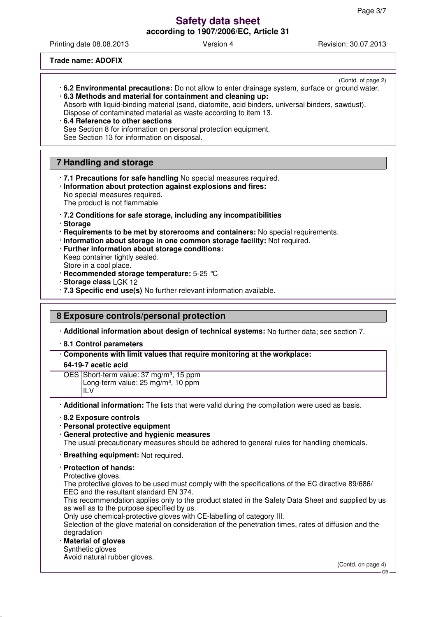#### **Trade name: ADOFIX**

(Contd. of page 2)

· **6.2 Environmental precautions:** Do not allow to enter drainage system, surface or ground water. · **6.3 Methods and material for containment and cleaning up:**

Absorb with liquid-binding material (sand, diatomite, acid binders, universal binders, sawdust). Dispose of contaminated material as waste according to item 13.

· **6.4 Reference to other sections** See Section 8 for information on personal protection equipment. See Section 13 for information on disposal.

## **7 Handling and storage**

- · **7.1 Precautions for safe handling** No special measures required.
- · **Information about protection against explosions and fires:**

No special measures required.

The product is not flammable

· **7.2 Conditions for safe storage, including any incompatibilities**

· **Storage**

- · **Requirements to be met by storerooms and containers:** No special requirements.
- · **Information about storage in one common storage facility:** Not required.
- · **Further information about storage conditions:**

Keep container tightly sealed.

Store in a cool place.

- · **Recommended storage temperature:** 5-25 °C
- · **Storage class** LGK 12
- · **7.3 Specific end use(s)** No further relevant information available.

### **8 Exposure controls/personal protection**

· **Additional information about design of technical systems:** No further data; see section 7.

· **8.1 Control parameters**

· **Components with limit values that require monitoring at the workplace:**

#### **64-19-7 acetic acid**

OES Short-term value: 37 mg/m<sup>3</sup>, 15 ppm Long-term value:  $25 \text{ ma/m}^3$ , 10 ppm ILV

· **Additional information:** The lists that were valid during the compilation were used as basis.

- · **8.2 Exposure controls**
- · **Personal protective equipment**
- · **General protective and hygienic measures**

The usual precautionary measures should be adhered to general rules for handling chemicals.

- · **Breathing equipment:** Not required.
- · **Protection of hands:**

Protective gloves.

The protective gloves to be used must comply with the specifications of the EC directive 89/686/ EEC and the resultant standard EN 374.

This recommendation applies only to the product stated in the Safety Data Sheet and supplied by us as well as to the purpose specified by us.

Only use chemical-protective gloves with CE-labelling of category III.

Selection of the glove material on consideration of the penetration times, rates of diffusion and the degradation

· **Material of gloves**

Synthetic gloves

Avoid natural rubber gloves.

(Contd. on page 4)

GB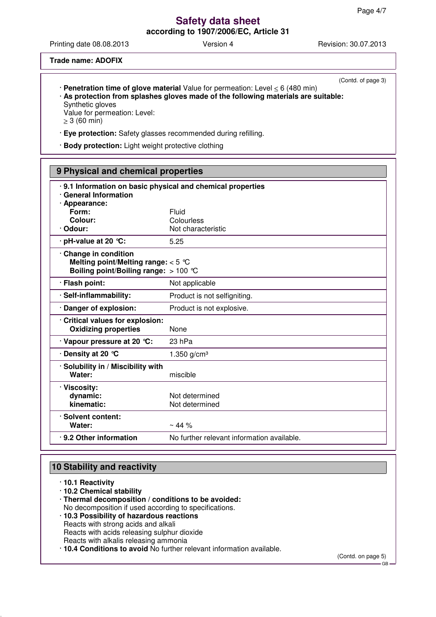**Trade name: ADOFIX**

(Contd. of page 3)

· **Penetration time of glove material** Value for permeation: Level ≤ 6 (480 min) · **As protection from splashes gloves made of the following materials are suitable:** Synthetic gloves

Value for permeation: Level:

≥ 3 (60 min)

· **Eye protection:** Safety glasses recommended during refilling.

· **Body protection:** Light weight protective clothing

| 9 Physical and chemical properties                                                                      |                                            |  |  |  |
|---------------------------------------------------------------------------------------------------------|--------------------------------------------|--|--|--|
| .9.1 Information on basic physical and chemical properties<br>· General Information<br>· Appearance:    |                                            |  |  |  |
| Form:                                                                                                   | Fluid                                      |  |  |  |
| Colour:                                                                                                 | Colourless                                 |  |  |  |
| · Odour:                                                                                                | Not characteristic                         |  |  |  |
| $\cdot$ pH-value at 20 $\degree$ C:                                                                     | 5.25                                       |  |  |  |
| Change in condition<br>Melting point/Melting range: $< 5$ °C<br>Boiling point/Boiling range: $> 100$ °C |                                            |  |  |  |
| · Flash point:                                                                                          | Not applicable                             |  |  |  |
| · Self-inflammability:                                                                                  | Product is not selfigniting.               |  |  |  |
| · Danger of explosion:                                                                                  | Product is not explosive.                  |  |  |  |
| Critical values for explosion:<br><b>Oxidizing properties</b>                                           | None                                       |  |  |  |
| $\cdot$ Vapour pressure at 20 $\degree$ C:                                                              | 23 hPa                                     |  |  |  |
| . Density at 20 ℃                                                                                       | 1.350 $g/cm^{3}$                           |  |  |  |
| · Solubility in / Miscibility with<br>Water:                                                            | miscible                                   |  |  |  |
| · Viscosity:<br>dynamic:<br>kinematic:                                                                  | Not determined<br>Not determined           |  |  |  |
| · Solvent content:<br>Water:                                                                            | $\sim$ 44 %                                |  |  |  |
| . 9.2 Other information                                                                                 | No further relevant information available. |  |  |  |

# **10 Stability and reactivity**

- · **10.1 Reactivity**
- · **10.2 Chemical stability**
- · **Thermal decomposition / conditions to be avoided:** No decomposition if used according to specifications. · **10.3 Possibility of hazardous reactions** Reacts with strong acids and alkali

Reacts with acids releasing sulphur dioxide Reacts with alkalis releasing ammonia

· **10.4 Conditions to avoid** No further relevant information available.

(Contd. on page 5)

#### GB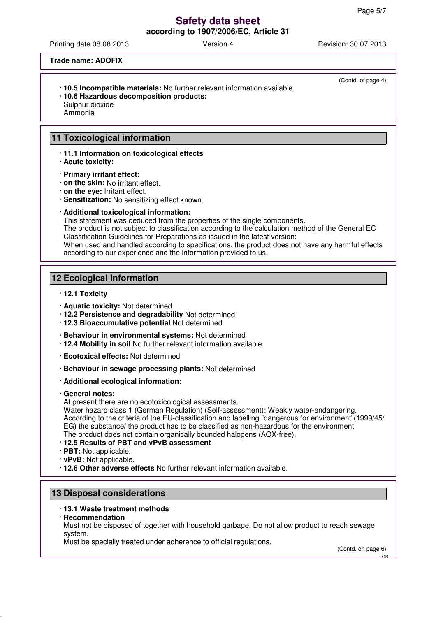# **Safety data sheet according to 1907/2006/EC, Article 31**

Printing date 08.08.2013 Version 4 Version 4 Revision: 30.07.2013

(Contd. of page 4)

**Trade name: ADOFIX**

- · **10.5 Incompatible materials:** No further relevant information available.
- · **10.6 Hazardous decomposition products:**
- Sulphur dioxide
- Ammonia

# **11 Toxicological information**

- · **11.1 Information on toxicological effects**
- · **Acute toxicity:**
- · **Primary irritant effect:**
- · **on the skin:** No irritant effect.
- · **on the eye:** Irritant effect.
- · **Sensitization:** No sensitizing effect known.
- · **Additional toxicological information:**

This statement was deduced from the properties of the single components. The product is not subject to classification according to the calculation method of the General EC Classification Guidelines for Preparations as issued in the latest version: When used and handled according to specifications, the product does not have any harmful effects according to our experience and the information provided to us.

## **12 Ecological information**

- · **12.1 Toxicity**
- · **Aquatic toxicity:** Not determined
- · **12.2 Persistence and degradability** Not determined
- · **12.3 Bioaccumulative potential** Not determined
- · **Behaviour in environmental systems:** Not determined
- · **12.4 Mobility in soil** No further relevant information available.
- · **Ecotoxical effects:** Not determined
- · **Behaviour in sewage processing plants:** Not determined

### · **Additional ecological information:**

· **General notes:**

At present there are no ecotoxicological assessments.

Water hazard class 1 (German Regulation) (Self-assessment): Weakly water-endangering. According to the criteria of the EU-classification and labelling "dangerous for environment"(1999/45/ EG) the substance/ the product has to be classified as non-hazardous for the environment. The product does not contain organically bounded halogens (AOX-free).

- · **12.5 Results of PBT and vPvB assessment**
- · **PBT:** Not applicable.
- · **vPvB:** Not applicable.
- · **12.6 Other adverse effects** No further relevant information available.

## **13 Disposal considerations**

- · **13.1 Waste treatment methods**
- · **Recommendation**

Must not be disposed of together with household garbage. Do not allow product to reach sewage system.

Must be specially treated under adherence to official regulations.

(Contd. on page 6)

GB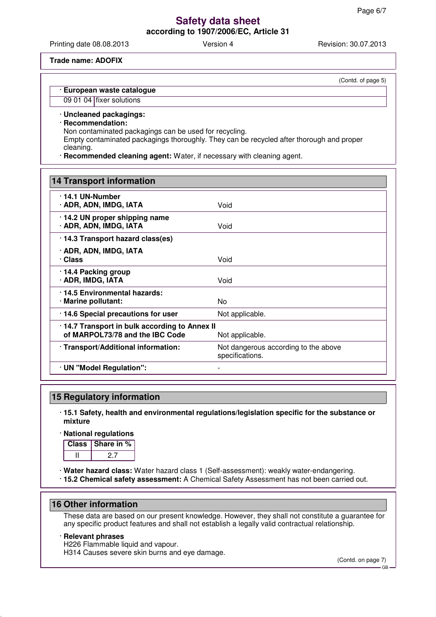# **Safety data sheet according to 1907/2006/EC, Article 31**

Printing date 08.08.2013 Version 4 Version 4 Revision: 30.07.2013

(Contd. of page 5)

**Trade name: ADOFIX**

## · **European waste catalogue**

09 01 04 fixer solutions

#### · **Uncleaned packagings:**

· **Recommendation:**

Non contaminated packagings can be used for recycling.

Empty contaminated packagings thoroughly. They can be recycled after thorough and proper cleaning.

· **Recommended cleaning agent:** Water, if necessary with cleaning agent.

| <b>14 Transport information</b>                                                                      |                                                         |  |
|------------------------------------------------------------------------------------------------------|---------------------------------------------------------|--|
| · 14.1 UN-Number<br>· ADR, ADN, IMDG, IATA                                                           | Void                                                    |  |
| · 14.2 UN proper shipping name<br>· ADR, ADN, IMDG, IATA                                             | Void                                                    |  |
| · 14.3 Transport hazard class(es)                                                                    |                                                         |  |
| · ADR, ADN, IMDG, IATA<br>· Class                                                                    | Void                                                    |  |
| 14.4 Packing group<br>· ADR, IMDG, IATA                                                              | Void                                                    |  |
| · 14.5 Environmental hazards:<br>· Marine pollutant:                                                 | No.                                                     |  |
| 14.6 Special precautions for user                                                                    | Not applicable.                                         |  |
| · 14.7 Transport in bulk according to Annex II<br>of MARPOL73/78 and the IBC Code<br>Not applicable. |                                                         |  |
| · Transport/Additional information:                                                                  | Not dangerous according to the above<br>specifications. |  |
| · UN "Model Regulation":                                                                             |                                                         |  |

## **15 Regulatory information**

· **15.1 Safety, health and environmental regulations/legislation specific for the substance or mixture**

· **National regulations**

| ass | nare ın<br>. SI<br>"∕o |
|-----|------------------------|
|     |                        |

· **Water hazard class:** Water hazard class 1 (Self-assessment): weakly water-endangering.

· **15.2 Chemical safety assessment:** A Chemical Safety Assessment has not been carried out.

## **16 Other information**

These data are based on our present knowledge. However, they shall not constitute a guarantee for any specific product features and shall not establish a legally valid contractual relationship.

#### · **Relevant phrases**

H226 Flammable liquid and vapour. H314 Causes severe skin burns and eye damage.

(Contd. on page 7)

GB